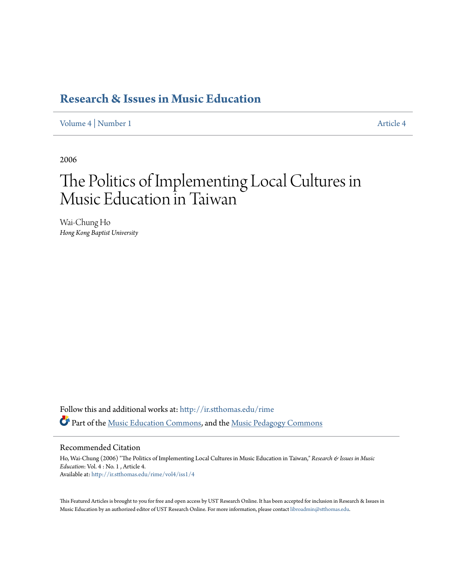## **[Research & Issues in Music Education](http://ir.stthomas.edu/rime?utm_source=ir.stthomas.edu%2Frime%2Fvol4%2Fiss1%2F4&utm_medium=PDF&utm_campaign=PDFCoverPages)**

[Volume 4](http://ir.stthomas.edu/rime/vol4?utm_source=ir.stthomas.edu%2Frime%2Fvol4%2Fiss1%2F4&utm_medium=PDF&utm_campaign=PDFCoverPages) | [Number 1](http://ir.stthomas.edu/rime/vol4/iss1?utm_source=ir.stthomas.edu%2Frime%2Fvol4%2Fiss1%2F4&utm_medium=PDF&utm_campaign=PDFCoverPages) [Article 4](http://ir.stthomas.edu/rime/vol4/iss1/4?utm_source=ir.stthomas.edu%2Frime%2Fvol4%2Fiss1%2F4&utm_medium=PDF&utm_campaign=PDFCoverPages)

2006

# The Politics of Implementing Local Cultures in Music Education in Taiwan

Wai-Chung Ho *Hong Kong Baptist University*

Follow this and additional works at: [http://ir.stthomas.edu/rime](http://ir.stthomas.edu/rime?utm_source=ir.stthomas.edu%2Frime%2Fvol4%2Fiss1%2F4&utm_medium=PDF&utm_campaign=PDFCoverPages) Part of the [Music Education Commons](https://network.bepress.com/hgg/discipline/1246?utm_source=ir.stthomas.edu%2Frime%2Fvol4%2Fiss1%2F4&utm_medium=PDF&utm_campaign=PDFCoverPages), and the [Music Pedagogy Commons](https://network.bepress.com/hgg/discipline/1129?utm_source=ir.stthomas.edu%2Frime%2Fvol4%2Fiss1%2F4&utm_medium=PDF&utm_campaign=PDFCoverPages)

#### Recommended Citation

Ho, Wai-Chung (2006) "The Politics of Implementing Local Cultures in Music Education in Taiwan," *Research & Issues in Music Education*: Vol. 4 : No. 1 , Article 4. Available at: [http://ir.stthomas.edu/rime/vol4/iss1/4](http://ir.stthomas.edu/rime/vol4/iss1/4?utm_source=ir.stthomas.edu%2Frime%2Fvol4%2Fiss1%2F4&utm_medium=PDF&utm_campaign=PDFCoverPages)

This Featured Articles is brought to you for free and open access by UST Research Online. It has been accepted for inclusion in Research & Issues in Music Education by an authorized editor of UST Research Online. For more information, please contact [libroadmin@stthomas.edu](mailto:libroadmin@stthomas.edu).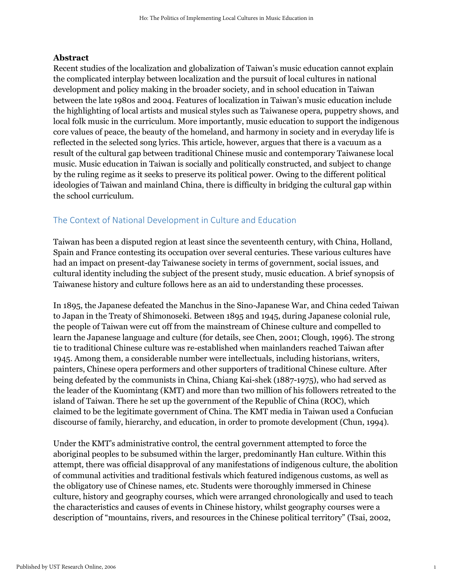#### **Abstract**

Recent studies of the localization and globalization of Taiwan's music education cannot explain the complicated interplay between localization and the pursuit of local cultures in national development and policy making in the broader society, and in school education in Taiwan between the late 1980s and 2004. Features of localization in Taiwan's music education include the highlighting of local artists and musical styles such as Taiwanese opera, puppetry shows, and local folk music in the curriculum. More importantly, music education to support the indigenous core values of peace, the beauty of the homeland, and harmony in society and in everyday life is reflected in the selected song lyrics. This article, however, argues that there is a vacuum as a result of the cultural gap between traditional Chinese music and contemporary Taiwanese local music. Music education in Taiwan is socially and politically constructed, and subject to change by the ruling regime as it seeks to preserve its political power. Owing to the different political ideologies of Taiwan and mainland China, there is difficulty in bridging the cultural gap within the school curriculum.

### The Context of National Development in Culture and Education

Taiwan has been a disputed region at least since the seventeenth century, with China, Holland, Spain and France contesting its occupation over several centuries. These various cultures have had an impact on present-day Taiwanese society in terms of government, social issues, and cultural identity including the subject of the present study, music education. A brief synopsis of Taiwanese history and culture follows here as an aid to understanding these processes.

In 1895, the Japanese defeated the Manchus in the Sino-Japanese War, and China ceded Taiwan to Japan in the Treaty of Shimonoseki. Between 1895 and 1945, during Japanese colonial rule, the people of Taiwan were cut off from the mainstream of Chinese culture and compelled to learn the Japanese language and culture (for details, see Chen, 2001; Clough, 1996). The strong tie to traditional Chinese culture was re-established when mainlanders reached Taiwan after 1945. Among them, a considerable number were intellectuals, including historians, writers, painters, Chinese opera performers and other supporters of traditional Chinese culture. After being defeated by the communists in China, Chiang Kai-shek (1887-1975), who had served as the leader of the Kuomintang (KMT) and more than two million of his followers retreated to the island of Taiwan. There he set up the government of the Republic of China (ROC), which claimed to be the legitimate government of China. The KMT media in Taiwan used a Confucian discourse of family, hierarchy, and education, in order to promote development (Chun, 1994).

Under the KMT's administrative control, the central government attempted to force the aboriginal peoples to be subsumed within the larger, predominantly Han culture. Within this attempt, there was official disapproval of any manifestations of indigenous culture, the abolition of communal activities and traditional festivals which featured indigenous customs, as well as the obligatory use of Chinese names, etc. Students were thoroughly immersed in Chinese culture, history and geography courses, which were arranged chronologically and used to teach the characteristics and causes of events in Chinese history, whilst geography courses were a description of "mountains, rivers, and resources in the Chinese political territory" (Tsai, 2002,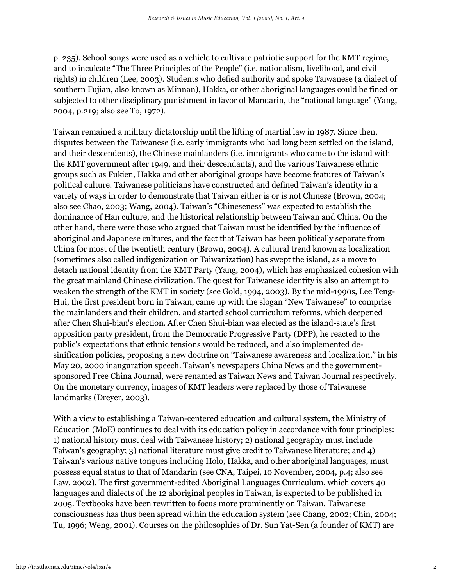p. 235). School songs were used as a vehicle to cultivate patriotic support for the KMT regime, and to inculcate "The Three Principles of the People" (i.e. nationalism, livelihood, and civil rights) in children (Lee, 2003). Students who defied authority and spoke Taiwanese (a dialect of southern Fujian, also known as Minnan), Hakka, or other aboriginal languages could be fined or subjected to other disciplinary punishment in favor of Mandarin, the "national language" (Yang, 2004, p.219; also see To, 1972).

Taiwan remained a military dictatorship until the lifting of martial law in 1987. Since then, disputes between the Taiwanese (i.e. early immigrants who had long been settled on the island, and their descendents), the Chinese mainlanders (i.e. immigrants who came to the island with the KMT government after 1949, and their descendants), and the various Taiwanese ethnic groups such as Fukien, Hakka and other aboriginal groups have become features of Taiwan's political culture. Taiwanese politicians have constructed and defined Taiwan's identity in a variety of ways in order to demonstrate that Taiwan either is or is not Chinese (Brown, 2004; also see Chao, 2003; Wang, 2004). Taiwan's "Chineseness" was expected to establish the dominance of Han culture, and the historical relationship between Taiwan and China. On the other hand, there were those who argued that Taiwan must be identified by the influence of aboriginal and Japanese cultures, and the fact that Taiwan has been politically separate from China for most of the twentieth century (Brown, 2004). A cultural trend known as localization (sometimes also called indigenization or Taiwanization) has swept the island, as a move to detach national identity from the KMT Party (Yang, 2004), which has emphasized cohesion with the great mainland Chinese civilization. The quest for Taiwanese identity is also an attempt to weaken the strength of the KMT in society (see Gold, 1994, 2003). By the mid-1990s, Lee Teng-Hui, the first president born in Taiwan, came up with the slogan "New Taiwanese" to comprise the mainlanders and their children, and started school curriculum reforms, which deepened after Chen Shui-bian's election. After Chen Shui-bian was elected as the island-state's first opposition party president, from the Democratic Progressive Party (DPP), he reacted to the public's expectations that ethnic tensions would be reduced, and also implemented desinification policies, proposing a new doctrine on "Taiwanese awareness and localization," in his May 20, 2000 inauguration speech. Taiwan's newspapers China News and the governmentsponsored Free China Journal, were renamed as Taiwan News and Taiwan Journal respectively. On the monetary currency, images of KMT leaders were replaced by those of Taiwanese landmarks (Dreyer, 2003).

With a view to establishing a Taiwan-centered education and cultural system, the Ministry of Education (MoE) continues to deal with its education policy in accordance with four principles: 1) national history must deal with Taiwanese history; 2) national geography must include Taiwan's geography; 3) national literature must give credit to Taiwanese literature; and 4) Taiwan's various native tongues including Holo, Hakka, and other aboriginal languages, must possess equal status to that of Mandarin (see CNA, Taipei, 10 November, 2004, p.4; also see Law, 2002). The first government-edited Aboriginal Languages Curriculum, which covers 40 languages and dialects of the 12 aboriginal peoples in Taiwan, is expected to be published in 2005. Textbooks have been rewritten to focus more prominently on Taiwan. Taiwanese consciousness has thus been spread within the education system (see Chang, 2002; Chin, 2004; Tu, 1996; Weng, 2001). Courses on the philosophies of Dr. Sun Yat-Sen (a founder of KMT) are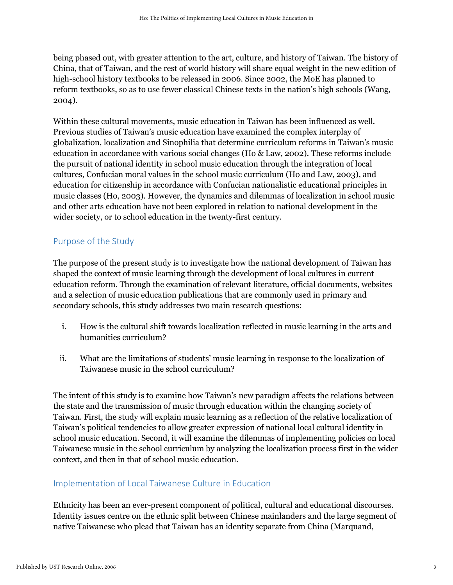being phased out, with greater attention to the art, culture, and history of Taiwan. The history of China, that of Taiwan, and the rest of world history will share equal weight in the new edition of high-school history textbooks to be released in 2006. Since 2002, the MoE has planned to reform textbooks, so as to use fewer classical Chinese texts in the nation's high schools (Wang, 2004).

Within these cultural movements, music education in Taiwan has been influenced as well. Previous studies of Taiwan's music education have examined the complex interplay of globalization, localization and Sinophilia that determine curriculum reforms in Taiwan's music education in accordance with various social changes (Ho & Law, 2002). These reforms include the pursuit of national identity in school music education through the integration of local cultures, Confucian moral values in the school music curriculum (Ho and Law, 2003), and education for citizenship in accordance with Confucian nationalistic educational principles in music classes (Ho, 2003). However, the dynamics and dilemmas of localization in school music and other arts education have not been explored in relation to national development in the wider society, or to school education in the twenty-first century.

### Purpose of the Study

The purpose of the present study is to investigate how the national development of Taiwan has shaped the context of music learning through the development of local cultures in current education reform. Through the examination of relevant literature, official documents, websites and a selection of music education publications that are commonly used in primary and secondary schools, this study addresses two main research questions:

- i. How is the cultural shift towards localization reflected in music learning in the arts and humanities curriculum?
- ii. What are the limitations of students' music learning in response to the localization of Taiwanese music in the school curriculum?

The intent of this study is to examine how Taiwan's new paradigm affects the relations between the state and the transmission of music through education within the changing society of Taiwan. First, the study will explain music learning as a reflection of the relative localization of Taiwan's political tendencies to allow greater expression of national local cultural identity in school music education. Second, it will examine the dilemmas of implementing policies on local Taiwanese music in the school curriculum by analyzing the localization process first in the wider context, and then in that of school music education.

### Implementation of Local Taiwanese Culture in Education

Ethnicity has been an ever-present component of political, cultural and educational discourses. Identity issues centre on the ethnic split between Chinese mainlanders and the large segment of native Taiwanese who plead that Taiwan has an identity separate from China (Marquand,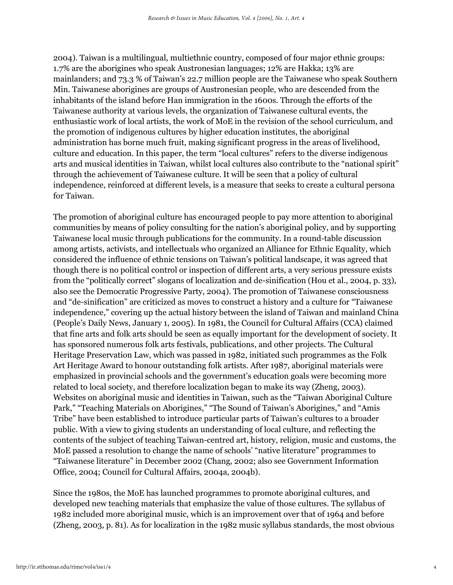2004). Taiwan is a multilingual, multiethnic country, composed of four major ethnic groups: 1.7% are the aborigines who speak Austronesian languages; 12% are Hakka; 13% are mainlanders; and 73.3 % of Taiwan's 22.7 million people are the Taiwanese who speak Southern Min. Taiwanese aborigines are groups of Austronesian people, who are descended from the inhabitants of the island before Han immigration in the 1600s. Through the efforts of the Taiwanese authority at various levels, the organization of Taiwanese cultural events, the enthusiastic work of local artists, the work of MoE in the revision of the school curriculum, and the promotion of indigenous cultures by higher education institutes, the aboriginal administration has borne much fruit, making significant progress in the areas of livelihood, culture and education. In this paper, the term "local cultures" refers to the diverse indigenous arts and musical identities in Taiwan, whilst local cultures also contribute to the "national spirit" through the achievement of Taiwanese culture. It will be seen that a policy of cultural independence, reinforced at different levels, is a measure that seeks to create a cultural persona for Taiwan.

The promotion of aboriginal culture has encouraged people to pay more attention to aboriginal communities by means of policy consulting for the nation's aboriginal policy, and by supporting Taiwanese local music through publications for the community. In a round-table discussion among artists, activists, and intellectuals who organized an Alliance for Ethnic Equality, which considered the influence of ethnic tensions on Taiwan's political landscape, it was agreed that though there is no political control or inspection of different arts, a very serious pressure exists from the "politically correct" slogans of localization and de-sinification (Hou et al., 2004, p. 33), also see the Democratic Progressive Party, 2004). The promotion of Taiwanese consciousness and "de-sinification" are criticized as moves to construct a history and a culture for "Taiwanese independence," covering up the actual history between the island of Taiwan and mainland China (People's Daily News, January 1, 2005). In 1981, the Council for Cultural Affairs (CCA) claimed that fine arts and folk arts should be seen as equally important for the development of society. It has sponsored numerous folk arts festivals, publications, and other projects. The Cultural Heritage Preservation Law, which was passed in 1982, initiated such programmes as the Folk Art Heritage Award to honour outstanding folk artists. After 1987, aboriginal materials were emphasized in provincial schools and the government's education goals were becoming more related to local society, and therefore localization began to make its way (Zheng, 2003). Websites on aboriginal music and identities in Taiwan, such as the "Taiwan Aboriginal Culture Park," "Teaching Materials on Aborigines," "The Sound of Taiwan's Aborigines," and "Amis Tribe" have been established to introduce particular parts of Taiwan's cultures to a broader public. With a view to giving students an understanding of local culture, and reflecting the contents of the subject of teaching Taiwan-centred art, history, religion, music and customs, the MoE passed a resolution to change the name of schools' "native literature" programmes to "Taiwanese literature" in December 2002 (Chang, 2002; also see Government Information Office, 2004; Council for Cultural Affairs, 2004a, 2004b).

Since the 1980s, the MoE has launched programmes to promote aboriginal cultures, and developed new teaching materials that emphasize the value of those cultures. The syllabus of 1982 included more aboriginal music, which is an improvement over that of 1964 and before (Zheng, 2003, p. 81). As for localization in the 1982 music syllabus standards, the most obvious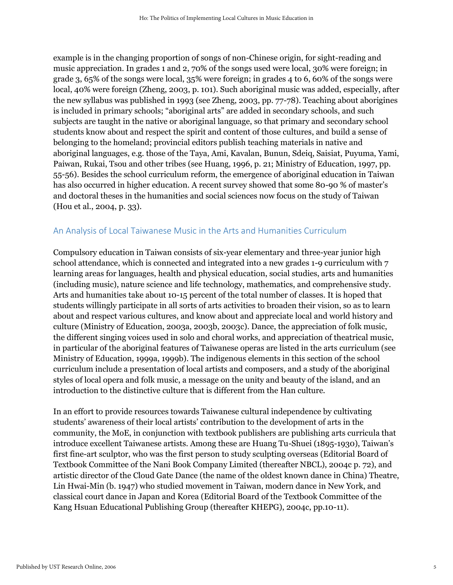example is in the changing proportion of songs of non-Chinese origin, for sight-reading and music appreciation. In grades 1 and 2, 70% of the songs used were local, 30% were foreign; in grade 3, 65% of the songs were local, 35% were foreign; in grades 4 to 6, 60% of the songs were local, 40% were foreign (Zheng, 2003, p. 101). Such aboriginal music was added, especially, after the new syllabus was published in 1993 (see Zheng, 2003, pp. 77-78). Teaching about aborigines is included in primary schools; "aboriginal arts" are added in secondary schools, and such subjects are taught in the native or aboriginal language, so that primary and secondary school students know about and respect the spirit and content of those cultures, and build a sense of belonging to the homeland; provincial editors publish teaching materials in native and aboriginal languages, e.g. those of the Taya, Ami, Kavalan, Bunun, Sdeiq, Saisiat, Puyuma, Yami, Paiwan, Rukai, Tsou and other tribes (see Huang, 1996, p. 21; Ministry of Education, 1997, pp. 55-56). Besides the school curriculum reform, the emergence of aboriginal education in Taiwan has also occurred in higher education. A recent survey showed that some 80-90 % of master's and doctoral theses in the humanities and social sciences now focus on the study of Taiwan (Hou et al., 2004, p. 33).

#### An Analysis of Local Taiwanese Music in the Arts and Humanities Curriculum

Compulsory education in Taiwan consists of six-year elementary and three-year junior high school attendance, which is connected and integrated into a new grades 1-9 curriculum with 7 learning areas for languages, health and physical education, social studies, arts and humanities (including music), nature science and life technology, mathematics, and comprehensive study. Arts and humanities take about 10-15 percent of the total number of classes. It is hoped that students willingly participate in all sorts of arts activities to broaden their vision, so as to learn about and respect various cultures, and know about and appreciate local and world history and culture (Ministry of Education, 2003a, 2003b, 2003c). Dance, the appreciation of folk music, the different singing voices used in solo and choral works, and appreciation of theatrical music, in particular of the aboriginal features of Taiwanese operas are listed in the arts curriculum (see Ministry of Education, 1999a, 1999b). The indigenous elements in this section of the school curriculum include a presentation of local artists and composers, and a study of the aboriginal styles of local opera and folk music, a message on the unity and beauty of the island, and an introduction to the distinctive culture that is different from the Han culture.

In an effort to provide resources towards Taiwanese cultural independence by cultivating students' awareness of their local artists' contribution to the development of arts in the community, the MoE, in conjunction with textbook publishers are publishing arts curricula that introduce excellent Taiwanese artists. Among these are Huang Tu-Shuei (1895-1930), Taiwan's first fine-art sculptor, who was the first person to study sculpting overseas (Editorial Board of Textbook Committee of the Nani Book Company Limited (thereafter NBCL), 2004c p. 72), and artistic director of the Cloud Gate Dance (the name of the oldest known dance in China) Theatre, Lin Hwai-Min (b. 1947) who studied movement in Taiwan, modern dance in New York, and classical court dance in Japan and Korea (Editorial Board of the Textbook Committee of the Kang Hsuan Educational Publishing Group (thereafter KHEPG), 2004c, pp.10-11).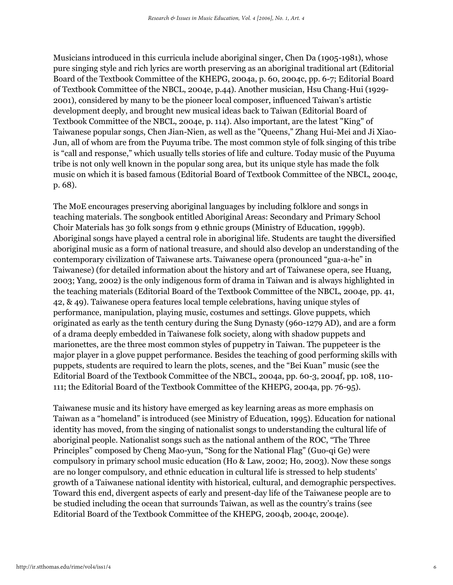Musicians introduced in this curricula include aboriginal singer, Chen Da (1905-1981), whose pure singing style and rich lyrics are worth preserving as an aboriginal traditional art (Editorial Board of the Textbook Committee of the KHEPG, 2004a, p. 60, 2004c, pp. 6-7; Editorial Board of Textbook Committee of the NBCL, 2004e, p.44). Another musician, Hsu Chang-Hui (1929- 2001), considered by many to be the pioneer local composer, influenced Taiwan's artistic development deeply, and brought new musical ideas back to Taiwan (Editorial Board of Textbook Committee of the NBCL, 2004e, p. 114). Also important, are the latest "King" of Taiwanese popular songs, Chen Jian-Nien, as well as the "Queens," Zhang Hui-Mei and Ji Xiao-Jun, all of whom are from the Puyuma tribe. The most common style of folk singing of this tribe is "call and response," which usually tells stories of life and culture. Today music of the Puyuma tribe is not only well known in the popular song area, but its unique style has made the folk music on which it is based famous (Editorial Board of Textbook Committee of the NBCL, 2004c, p. 68).

The MoE encourages preserving aboriginal languages by including folklore and songs in teaching materials. The songbook entitled Aboriginal Areas: Secondary and Primary School Choir Materials has 30 folk songs from 9 ethnic groups (Ministry of Education, 1999b). Aboriginal songs have played a central role in aboriginal life. Students are taught the diversified aboriginal music as a form of national treasure, and should also develop an understanding of the contemporary civilization of Taiwanese arts. Taiwanese opera (pronounced "gua-a-he" in Taiwanese) (for detailed information about the history and art of Taiwanese opera, see Huang, 2003; Yang, 2002) is the only indigenous form of drama in Taiwan and is always highlighted in the teaching materials (Editorial Board of the Textbook Committee of the NBCL, 2004e, pp. 41, 42, & 49). Taiwanese opera features local temple celebrations, having unique styles of performance, manipulation, playing music, costumes and settings. Glove puppets, which originated as early as the tenth century during the Sung Dynasty (960-1279 AD), and are a form of a drama deeply embedded in Taiwanese folk society, along with shadow puppets and marionettes, are the three most common styles of puppetry in Taiwan. The puppeteer is the major player in a glove puppet performance. Besides the teaching of good performing skills with puppets, students are required to learn the plots, scenes, and the "Bei Kuan" music (see the Editorial Board of the Textbook Committee of the NBCL, 2004a, pp. 60-3, 2004f, pp. 108, 110- 111; the Editorial Board of the Textbook Committee of the KHEPG, 2004a, pp. 76-95).

Taiwanese music and its history have emerged as key learning areas as more emphasis on Taiwan as a "homeland" is introduced (see Ministry of Education, 1995). Education for national identity has moved, from the singing of nationalist songs to understanding the cultural life of aboriginal people. Nationalist songs such as the national anthem of the ROC, "The Three Principles" composed by Cheng Mao-yun, "Song for the National Flag" (Guo-qi Ge) were compulsory in primary school music education (Ho & Law, 2002; Ho, 2003). Now these songs are no longer compulsory, and ethnic education in cultural life is stressed to help students' growth of a Taiwanese national identity with historical, cultural, and demographic perspectives. Toward this end, divergent aspects of early and present-day life of the Taiwanese people are to be studied including the ocean that surrounds Taiwan, as well as the country's trains (see Editorial Board of the Textbook Committee of the KHEPG, 2004b, 2004c, 2004e).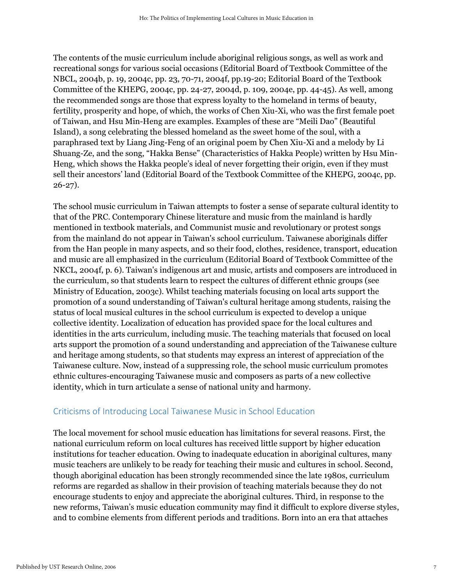The contents of the music curriculum include aboriginal religious songs, as well as work and recreational songs for various social occasions (Editorial Board of Textbook Committee of the NBCL, 2004b, p. 19, 2004c, pp. 23, 70-71, 2004f, pp.19-20; Editorial Board of the Textbook Committee of the KHEPG, 2004c, pp. 24-27, 2004d, p. 109, 2004e, pp. 44-45). As well, among the recommended songs are those that express loyalty to the homeland in terms of beauty, fertility, prosperity and hope, of which, the works of Chen Xiu-Xi, who was the first female poet of Taiwan, and Hsu Min-Heng are examples. Examples of these are "Meili Dao" (Beautiful Island), a song celebrating the blessed homeland as the sweet home of the soul, with a paraphrased text by Liang Jing-Feng of an original poem by Chen Xiu-Xi and a melody by Li Shuang-Ze, and the song, "Hakka Bense" (Characteristics of Hakka People) written by Hsu Min-Heng, which shows the Hakka people's ideal of never forgetting their origin, even if they must sell their ancestors' land (Editorial Board of the Textbook Committee of the KHEPG, 2004c, pp. 26-27).

The school music curriculum in Taiwan attempts to foster a sense of separate cultural identity to that of the PRC. Contemporary Chinese literature and music from the mainland is hardly mentioned in textbook materials, and Communist music and revolutionary or protest songs from the mainland do not appear in Taiwan's school curriculum. Taiwanese aboriginals differ from the Han people in many aspects, and so their food, clothes, residence, transport, education and music are all emphasized in the curriculum (Editorial Board of Textbook Committee of the NKCL, 2004f, p. 6). Taiwan's indigenous art and music, artists and composers are introduced in the curriculum, so that students learn to respect the cultures of different ethnic groups (see Ministry of Education, 2003c). Whilst teaching materials focusing on local arts support the promotion of a sound understanding of Taiwan's cultural heritage among students, raising the status of local musical cultures in the school curriculum is expected to develop a unique collective identity. Localization of education has provided space for the local cultures and identities in the arts curriculum, including music. The teaching materials that focused on local arts support the promotion of a sound understanding and appreciation of the Taiwanese culture and heritage among students, so that students may express an interest of appreciation of the Taiwanese culture. Now, instead of a suppressing role, the school music curriculum promotes ethnic cultures-encouraging Taiwanese music and composers as parts of a new collective identity, which in turn articulate a sense of national unity and harmony.

#### Criticisms of Introducing Local Taiwanese Music in School Education

The local movement for school music education has limitations for several reasons. First, the national curriculum reform on local cultures has received little support by higher education institutions for teacher education. Owing to inadequate education in aboriginal cultures, many music teachers are unlikely to be ready for teaching their music and cultures in school. Second, though aboriginal education has been strongly recommended since the late 1980s, curriculum reforms are regarded as shallow in their provision of teaching materials because they do not encourage students to enjoy and appreciate the aboriginal cultures. Third, in response to the new reforms, Taiwan's music education community may find it difficult to explore diverse styles, and to combine elements from different periods and traditions. Born into an era that attaches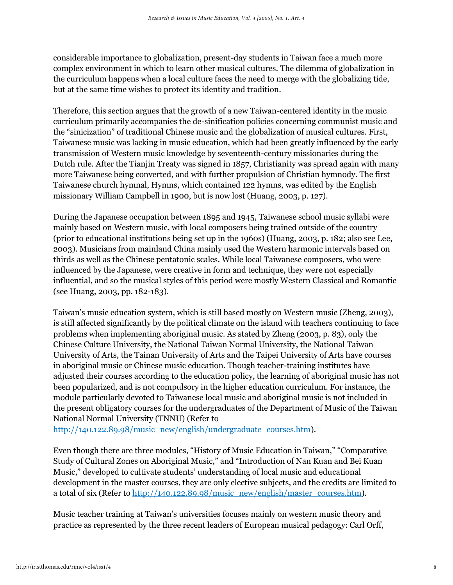considerable importance to globalization, present-day students in Taiwan face a much more complex environment in which to learn other musical cultures. The dilemma of globalization in the curriculum happens when a local culture faces the need to merge with the globalizing tide, but at the same time wishes to protect its identity and tradition.

Therefore, this section argues that the growth of a new Taiwan-centered identity in the music curriculum primarily accompanies the de-sinification policies concerning communist music and the "sinicization" of traditional Chinese music and the globalization of musical cultures. First, Taiwanese music was lacking in music education, which had been greatly influenced by the early transmission of Western music knowledge by seventeenth-century missionaries during the Dutch rule. After the Tianjin Treaty was signed in 1857, Christianity was spread again with many more Taiwanese being converted, and with further propulsion of Christian hymnody. The first Taiwanese church hymnal, Hymns, which contained 122 hymns, was edited by the English missionary William Campbell in 1900, but is now lost (Huang, 2003, p. 127).

During the Japanese occupation between 1895 and 1945, Taiwanese school music syllabi were mainly based on Western music, with local composers being trained outside of the country (prior to educational institutions being set up in the 1960s) (Huang, 2003, p. 182; also see Lee, 2003). Musicians from mainland China mainly used the Western harmonic intervals based on thirds as well as the Chinese pentatonic scales. While local Taiwanese composers, who were influenced by the Japanese, were creative in form and technique, they were not especially influential, and so the musical styles of this period were mostly Western Classical and Romantic (see Huang, 2003, pp. 182-183).

Taiwan's music education system, which is still based mostly on Western music (Zheng, 2003), is still affected significantly by the political climate on the island with teachers continuing to face problems when implementing aboriginal music. As stated by Zheng (2003, p. 83), only the Chinese Culture University, the National Taiwan Normal University, the National Taiwan University of Arts, the Tainan University of Arts and the Taipei University of Arts have courses in aboriginal music or Chinese music education. Though teacher-training institutes have adjusted their courses according to the education policy, the learning of aboriginal music has not been popularized, and is not compulsory in the higher education curriculum. For instance, the module particularly devoted to Taiwanese local music and aboriginal music is not included in the present obligatory courses for the undergraduates of the Department of Music of the Taiwan National Normal University (TNNU) (Refer to

[http://140.122.89.98/music\\_new/english/undergraduate\\_courses.htm\)](http://140.122.89.98/music_new/english/undergraduate_courses.htm).

Even though there are three modules, "History of Music Education in Taiwan," "Comparative Study of Cultural Zones on Aboriginal Music," and "Introduction of Nan Kuan and Bei Kuan Music," developed to cultivate students' understanding of local music and educational development in the master courses, they are only elective subjects, and the credits are limited to a total of six (Refer to [http://140.122.89.98/music\\_new/english/master\\_courses.htm\)](http://140.122.89.98/music_new/english/master_courses.htm).

Music teacher training at Taiwan's universities focuses mainly on western music theory and practice as represented by the three recent leaders of European musical pedagogy: Carl Orff,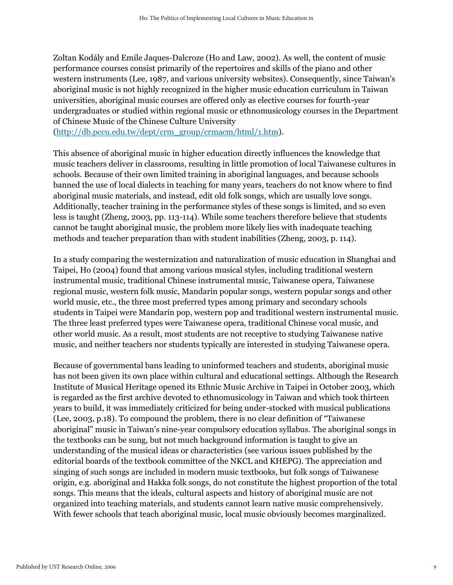Zoltan Kodály and Emile Jaques-Dalcroze (Ho and Law, 2002). As well, the content of music performance courses consist primarily of the repertoires and skills of the piano and other western instruments (Lee, 1987, and various university websites). Consequently, since Taiwan's aboriginal music is not highly recognized in the higher music education curriculum in Taiwan universities, aboriginal music courses are offered only as elective courses for fourth-year undergraduates or studied within regional music or ethnomusicology courses in the Department of Chinese Music of the Chinese Culture University

[\(http://db.pccu.edu.tw/dept/crm\\_group/crmacm/html/1.htm\)](http://db.pccu.edu.tw/dept/crm_group/crmacm/html/1.htm).

This absence of aboriginal music in higher education directly influences the knowledge that music teachers deliver in classrooms, resulting in little promotion of local Taiwanese cultures in schools. Because of their own limited training in aboriginal languages, and because schools banned the use of local dialects in teaching for many years, teachers do not know where to find aboriginal music materials, and instead, edit old folk songs, which are usually love songs. Additionally, teacher training in the performance styles of these songs is limited, and so even less is taught (Zheng, 2003, pp. 113-114). While some teachers therefore believe that students cannot be taught aboriginal music, the problem more likely lies with inadequate teaching methods and teacher preparation than with student inabilities (Zheng, 2003, p. 114).

In a study comparing the westernization and naturalization of music education in Shanghai and Taipei, Ho (2004) found that among various musical styles, including traditional western instrumental music, traditional Chinese instrumental music, Taiwanese opera, Taiwanese regional music, western folk music, Mandarin popular songs, western popular songs and other world music, etc., the three most preferred types among primary and secondary schools students in Taipei were Mandarin pop, western pop and traditional western instrumental music. The three least preferred types were Taiwanese opera, traditional Chinese vocal music, and other world music. As a result, most students are not receptive to studying Taiwanese native music, and neither teachers nor students typically are interested in studying Taiwanese opera.

Because of governmental bans leading to uninformed teachers and students, aboriginal music has not been given its own place within cultural and educational settings. Although the Research Institute of Musical Heritage opened its Ethnic Music Archive in Taipei in October 2003, which is regarded as the first archive devoted to ethnomusicology in Taiwan and which took thirteen years to build, it was immediately criticized for being under-stocked with musical publications (Lee, 2003, p.18). To compound the problem, there is no clear definition of "Taiwanese aboriginal" music in Taiwan's nine-year compulsory education syllabus. The aboriginal songs in the textbooks can be sung, but not much background information is taught to give an understanding of the musical ideas or characteristics (see various issues published by the editorial boards of the textbook committee of the NKCL and KHEPG). The appreciation and singing of such songs are included in modern music textbooks, but folk songs of Taiwanese origin, e.g. aboriginal and Hakka folk songs, do not constitute the highest proportion of the total songs. This means that the ideals, cultural aspects and history of aboriginal music are not organized into teaching materials, and students cannot learn native music comprehensively. With fewer schools that teach aboriginal music, local music obviously becomes marginalized.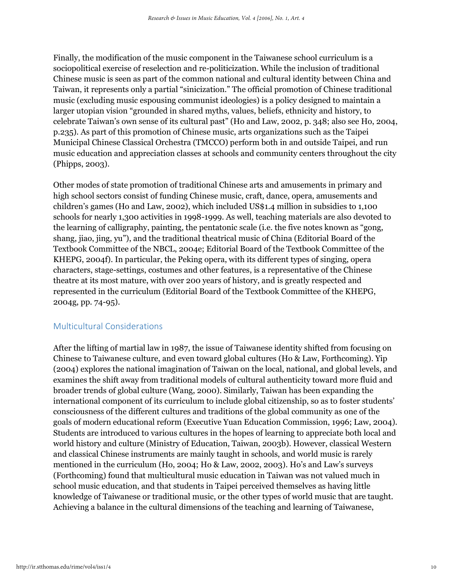Finally, the modification of the music component in the Taiwanese school curriculum is a sociopolitical exercise of reselection and re-politicization. While the inclusion of traditional Chinese music is seen as part of the common national and cultural identity between China and Taiwan, it represents only a partial "sinicization." The official promotion of Chinese traditional music (excluding music espousing communist ideologies) is a policy designed to maintain a larger utopian vision "grounded in shared myths, values, beliefs, ethnicity and history, to celebrate Taiwan's own sense of its cultural past" (Ho and Law, 2002, p. 348; also see Ho, 2004, p.235). As part of this promotion of Chinese music, arts organizations such as the Taipei Municipal Chinese Classical Orchestra (TMCCO) perform both in and outside Taipei, and run music education and appreciation classes at schools and community centers throughout the city (Phipps, 2003).

Other modes of state promotion of traditional Chinese arts and amusements in primary and high school sectors consist of funding Chinese music, craft, dance, opera, amusements and children's games (Ho and Law, 2002), which included US\$1.4 million in subsidies to 1,100 schools for nearly 1,300 activities in 1998-1999. As well, teaching materials are also devoted to the learning of calligraphy, painting, the pentatonic scale (i.e. the five notes known as "gong, shang, jiao, jing, yu"), and the traditional theatrical music of China (Editorial Board of the Textbook Committee of the NBCL, 2004e; Editorial Board of the Textbook Committee of the KHEPG, 2004f). In particular, the Peking opera, with its different types of singing, opera characters, stage-settings, costumes and other features, is a representative of the Chinese theatre at its most mature, with over 200 years of history, and is greatly respected and represented in the curriculum (Editorial Board of the Textbook Committee of the KHEPG, 2004g, pp. 74-95).

#### Multicultural Considerations

After the lifting of martial law in 1987, the issue of Taiwanese identity shifted from focusing on Chinese to Taiwanese culture, and even toward global cultures (Ho & Law, Forthcoming). Yip (2004) explores the national imagination of Taiwan on the local, national, and global levels, and examines the shift away from traditional models of cultural authenticity toward more fluid and broader trends of global culture (Wang, 2000). Similarly, Taiwan has been expanding the international component of its curriculum to include global citizenship, so as to foster students' consciousness of the different cultures and traditions of the global community as one of the goals of modern educational reform (Executive Yuan Education Commission, 1996; Law, 2004). Students are introduced to various cultures in the hopes of learning to appreciate both local and world history and culture (Ministry of Education, Taiwan, 2003b). However, classical Western and classical Chinese instruments are mainly taught in schools, and world music is rarely mentioned in the curriculum (Ho, 2004; Ho & Law, 2002, 2003). Ho's and Law's surveys (Forthcoming) found that multicultural music education in Taiwan was not valued much in school music education, and that students in Taipei perceived themselves as having little knowledge of Taiwanese or traditional music, or the other types of world music that are taught. Achieving a balance in the cultural dimensions of the teaching and learning of Taiwanese,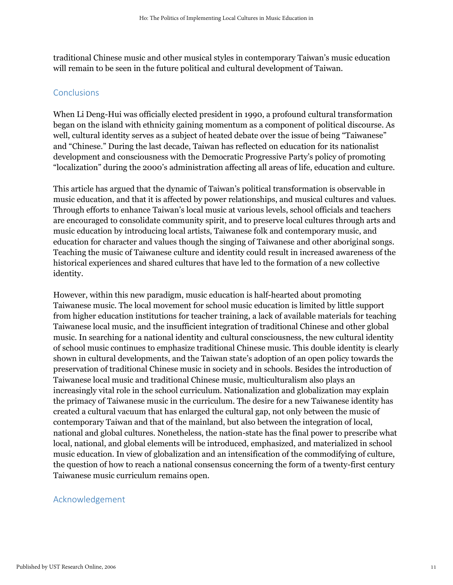traditional Chinese music and other musical styles in contemporary Taiwan's music education will remain to be seen in the future political and cultural development of Taiwan.

#### **Conclusions**

When Li Deng-Hui was officially elected president in 1990, a profound cultural transformation began on the island with ethnicity gaining momentum as a component of political discourse. As well, cultural identity serves as a subject of heated debate over the issue of being "Taiwanese" and "Chinese." During the last decade, Taiwan has reflected on education for its nationalist development and consciousness with the Democratic Progressive Party's policy of promoting "localization" during the 2000's administration affecting all areas of life, education and culture.

This article has argued that the dynamic of Taiwan's political transformation is observable in music education, and that it is affected by power relationships, and musical cultures and values. Through efforts to enhance Taiwan's local music at various levels, school officials and teachers are encouraged to consolidate community spirit, and to preserve local cultures through arts and music education by introducing local artists, Taiwanese folk and contemporary music, and education for character and values though the singing of Taiwanese and other aboriginal songs. Teaching the music of Taiwanese culture and identity could result in increased awareness of the historical experiences and shared cultures that have led to the formation of a new collective identity.

However, within this new paradigm, music education is half-hearted about promoting Taiwanese music. The local movement for school music education is limited by little support from higher education institutions for teacher training, a lack of available materials for teaching Taiwanese local music, and the insufficient integration of traditional Chinese and other global music. In searching for a national identity and cultural consciousness, the new cultural identity of school music continues to emphasize traditional Chinese music. This double identity is clearly shown in cultural developments, and the Taiwan state's adoption of an open policy towards the preservation of traditional Chinese music in society and in schools. Besides the introduction of Taiwanese local music and traditional Chinese music, multiculturalism also plays an increasingly vital role in the school curriculum. Nationalization and globalization may explain the primacy of Taiwanese music in the curriculum. The desire for a new Taiwanese identity has created a cultural vacuum that has enlarged the cultural gap, not only between the music of contemporary Taiwan and that of the mainland, but also between the integration of local, national and global cultures. Nonetheless, the nation-state has the final power to prescribe what local, national, and global elements will be introduced, emphasized, and materialized in school music education. In view of globalization and an intensification of the commodifying of culture, the question of how to reach a national consensus concerning the form of a twenty-first century Taiwanese music curriculum remains open.

### Acknowledgement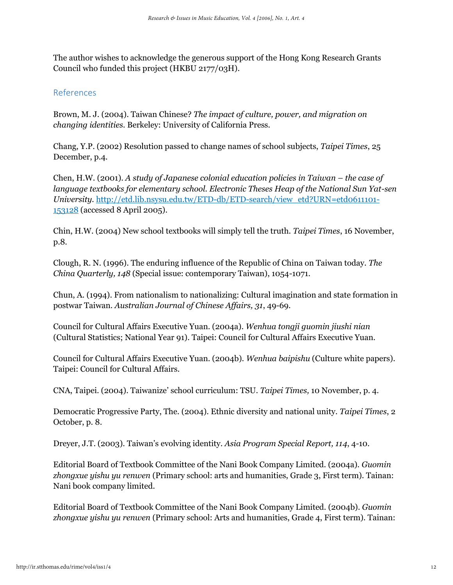The author wishes to acknowledge the generous support of the Hong Kong Research Grants Council who funded this project (HKBU 2177/03H).

#### References

Brown, M. J. (2004). Taiwan Chinese? *The impact of culture, power, and migration on changing identities.* Berkeley: University of California Press.

Chang, Y.P. (2002) Resolution passed to change names of school subjects, *Taipei Times*, 25 December, p.4.

Chen, H.W. (2001). A study of Japanese colonial education policies in Taiwan – the case of *language textbooks for elementary school. Electronic Theses Heap of the National Sun Yat-sen University.* [http://etd.lib.nsysu.edu.tw/ETD-db/ETD-search/view\\_etd?URN=etd0611101-](http://etd.lib.nsysu.edu.tw/ETD-db/ETD-search/view_etd?URN=etd-0611101-153128) [153128](http://etd.lib.nsysu.edu.tw/ETD-db/ETD-search/view_etd?URN=etd-0611101-153128) (accessed 8 April 2005).

Chin, H.W. (2004) New school textbooks will simply tell the truth. *Taipei Times*, 16 November, p.8.

Clough, R. N. (1996). The enduring influence of the Republic of China on Taiwan today. *The China Quarterly, 148* (Special issue: contemporary Taiwan), 1054-1071.

Chun, A. (1994). From nationalism to nationalizing: Cultural imagination and state formation in postwar Taiwan. *Australian Journal of Chinese Affairs, 31*, 49-69.

Council for Cultural Affairs Executive Yuan. (2004a). *Wenhua tongji guomin jiushi nian* (Cultural Statistics; National Year 91). Taipei: Council for Cultural Affairs Executive Yuan.

Council for Cultural Affairs Executive Yuan. (2004b). *Wenhua baipishu* (Culture white papers). Taipei: Council for Cultural Affairs.

CNA, Taipei. (2004). Taiwanize' school curriculum: TSU. *Taipei Times,* 10 November, p. 4.

Democratic Progressive Party, The. (2004). Ethnic diversity and national unity. *Taipei Times*, 2 October, p. 8.

Dreyer, J.T. (2003). Taiwan's evolving identity. *Asia Program Special Report, 114*, 4-10.

Editorial Board of Textbook Committee of the Nani Book Company Limited. (2004a). *Guomin zhongxue yishu yu renwen* (Primary school: arts and humanities, Grade 3, First term). Tainan: Nani book company limited.

Editorial Board of Textbook Committee of the Nani Book Company Limited. (2004b). *Guomin zhongxue yishu yu renwen* (Primary school: Arts and humanities, Grade 4, First term). Tainan: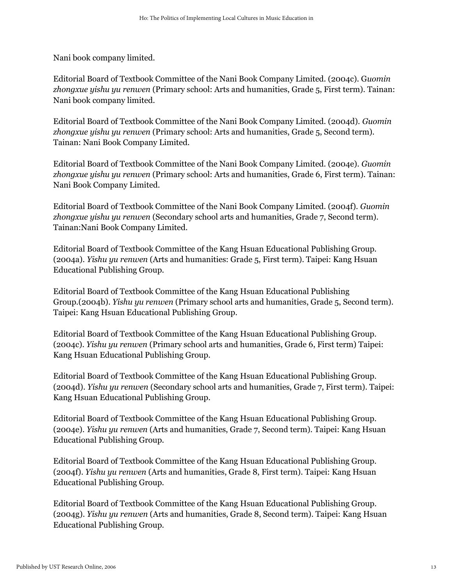Nani book company limited.

Editorial Board of Textbook Committee of the Nani Book Company Limited. (2004c). G*uomin zhongxue yishu yu renwen* (Primary school: Arts and humanities, Grade 5, First term). Tainan: Nani book company limited.

Editorial Board of Textbook Committee of the Nani Book Company Limited. (2004d). *Guomin*  zhongxue yishu yu renwen (Primary school: Arts and humanities, Grade 5, Second term). Tainan: Nani Book Company Limited.

Editorial Board of Textbook Committee of the Nani Book Company Limited. (2004e). *Guomin zhongxue yishu yu renwen* (Primary school: Arts and humanities, Grade 6, First term). Tainan: Nani Book Company Limited.

Editorial Board of Textbook Committee of the Nani Book Company Limited. (2004f). *Guomin zhongxue yishu yu renwen* (Secondary school arts and humanities, Grade 7, Second term). Tainan:Nani Book Company Limited.

Editorial Board of Textbook Committee of the Kang Hsuan Educational Publishing Group. (2004a). *Yishu yu renwen* (Arts and humanities: Grade 5, First term). Taipei: Kang Hsuan Educational Publishing Group.

Editorial Board of Textbook Committee of the Kang Hsuan Educational Publishing Group.(2004b). *Yishu yu renwen* (Primary school arts and humanities, Grade 5, Second term). Taipei: Kang Hsuan Educational Publishing Group.

Editorial Board of Textbook Committee of the Kang Hsuan Educational Publishing Group. (2004c). *Yishu yu renwen* (Primary school arts and humanities, Grade 6, First term) Taipei: Kang Hsuan Educational Publishing Group.

Editorial Board of Textbook Committee of the Kang Hsuan Educational Publishing Group. (2004d). *Yishu yu renwen* (Secondary school arts and humanities, Grade 7, First term). Taipei: Kang Hsuan Educational Publishing Group.

Editorial Board of Textbook Committee of the Kang Hsuan Educational Publishing Group. (2004e). *Yishu yu renwen* (Arts and humanities, Grade 7, Second term). Taipei: Kang Hsuan Educational Publishing Group.

Editorial Board of Textbook Committee of the Kang Hsuan Educational Publishing Group. (2004f). *Yishu yu renwen* (Arts and humanities, Grade 8, First term). Taipei: Kang Hsuan Educational Publishing Group.

Editorial Board of Textbook Committee of the Kang Hsuan Educational Publishing Group. (2004g). *Yishu yu renwen* (Arts and humanities, Grade 8, Second term). Taipei: Kang Hsuan Educational Publishing Group.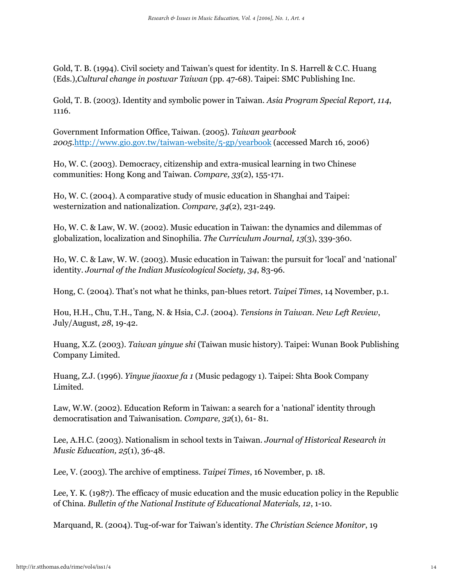Gold, T. B. (1994). Civil society and Taiwan's quest for identity. In S. Harrell & C.C. Huang (Eds.),*Cultural change in postwar Taiwan* (pp. 47-68). Taipei: SMC Publishing Inc.

Gold, T. B. (2003). Identity and symbolic power in Taiwan. *Asia Program Special Report, 114*, 1116.

Government Information Office, Taiwan. (2005). *Taiwan yearbook 2005*[.http://www.gio.gov.tw/taiwan-website/5-gp/yearbook](http://www.gio.gov.tw/taiwan-website/5-gp/yearbook) (accessed March 16, 2006)

Ho, W. C. (2003). Democracy, citizenship and extra-musical learning in two Chinese communities: Hong Kong and Taiwan. *Compare, 33*(2), 155-171.

Ho, W. C. (2004). A comparative study of music education in Shanghai and Taipei: westernization and nationalization. *Compare, 34*(2), 231-249.

Ho, W. C. & Law, W. W. (2002). Music education in Taiwan: the dynamics and dilemmas of globalization, localization and Sinophilia. *The Curriculum Journal, 13*(3), 339-360.

Ho, W. C. & Law, W. W. (2003). Music education in Taiwan: the pursuit for 'local' and 'national' identity. *Journal of the Indian Musicological Society, 34*, 83-96.

Hong, C. (2004). That's not what he thinks, pan-blues retort. *Taipei Times*, 14 November, p.1.

Hou, H.H., Chu, T.H., Tang, N. & Hsia, C.J. (2004). *Tensions in Taiwan. New Left Review*, July/August, *28*, 19-42.

Huang, X.Z. (2003). *Taiwan yinyue shi* (Taiwan music history). Taipei: Wunan Book Publishing Company Limited.

Huang, Z.J. (1996). *Yinyue jiaoxue fa 1* (Music pedagogy 1). Taipei: Shta Book Company Limited.

Law, W.W. (2002). Education Reform in Taiwan: a search for a 'national' identity through democratisation and Taiwanisation. *Compare, 32*(1), 61- 81.

Lee, A.H.C. (2003). Nationalism in school texts in Taiwan. *Journal of Historical Research in Music Education, 25*(1), 36-48.

Lee, V. (2003). The archive of emptiness. *Taipei Times*, 16 November, p. 18.

Lee, Y. K. (1987). The efficacy of music education and the music education policy in the Republic of China. *Bulletin of the National Institute of Educational Materials, 12*, 1-10.

Marquand, R. (2004). Tug-of-war for Taiwan's identity. *The Christian Science Monitor*, 19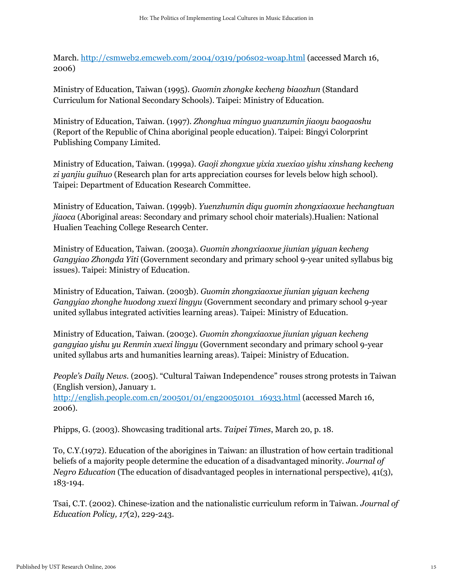March.<http://csmweb2.emcweb.com/2004/0319/p06s02-woap.html> (accessed March 16, 2006)

Ministry of Education, Taiwan (1995). *Guomin zhongke kecheng biaozhun* (Standard Curriculum for National Secondary Schools). Taipei: Ministry of Education.

Ministry of Education, Taiwan. (1997). *Zhonghua minguo yuanzumin jiaoyu baogaoshu* (Report of the Republic of China aboriginal people education). Taipei: Bingyi Colorprint Publishing Company Limited.

Ministry of Education, Taiwan. (1999a). *Gaoji zhongxue yixia xuexiao yishu xinshang kecheng zi yanjiu guihuo* (Research plan for arts appreciation courses for levels below high school). Taipei: Department of Education Research Committee.

Ministry of Education, Taiwan. (1999b). *Yuenzhumin diqu guomin zhongxiaoxue hechangtuan jiaoca* (Aboriginal areas: Secondary and primary school choir materials).Hualien: National Hualien Teaching College Research Center.

Ministry of Education, Taiwan. (2003a). *Guomin zhongxiaoxue jiunian yiguan kecheng Gangyiao Zhongda Yiti* (Government secondary and primary school 9-year united syllabus big issues). Taipei: Ministry of Education.

Ministry of Education, Taiwan. (2003b). *Guomin zhongxiaoxue jiunian yiguan kecheng Gangyiao zhonghe huodong xuexi lingyu* (Government secondary and primary school 9-year united syllabus integrated activities learning areas). Taipei: Ministry of Education.

Ministry of Education, Taiwan. (2003c). *Guomin zhongxiaoxue jiunian yiguan kecheng gangyiao yishu yu Renmin xuexi lingyu* (Government secondary and primary school 9-year united syllabus arts and humanities learning areas). Taipei: Ministry of Education.

*People's Daily News.* (2005). "Cultural Taiwan Independence" rouses strong protests in Taiwan (English version), January 1.

[http://english.people.com.cn/200501/01/eng20050101\\_16933.html](http://english.people.com.cn/200501/01/eng20050101_16933.html) (accessed March 16, 2006).

Phipps, G. (2003). Showcasing traditional arts. *Taipei Times*, March 20, p. 18.

To, C.Y.(1972). Education of the aborigines in Taiwan: an illustration of how certain traditional beliefs of a majority people determine the education of a disadvantaged minority. *Journal of Negro Education* (The education of disadvantaged peoples in international perspective), 41(3), 183-194.

Tsai, C.T. (2002). Chinese-ization and the nationalistic curriculum reform in Taiwan. *Journal of Education Policy, 17*(2), 229-243.